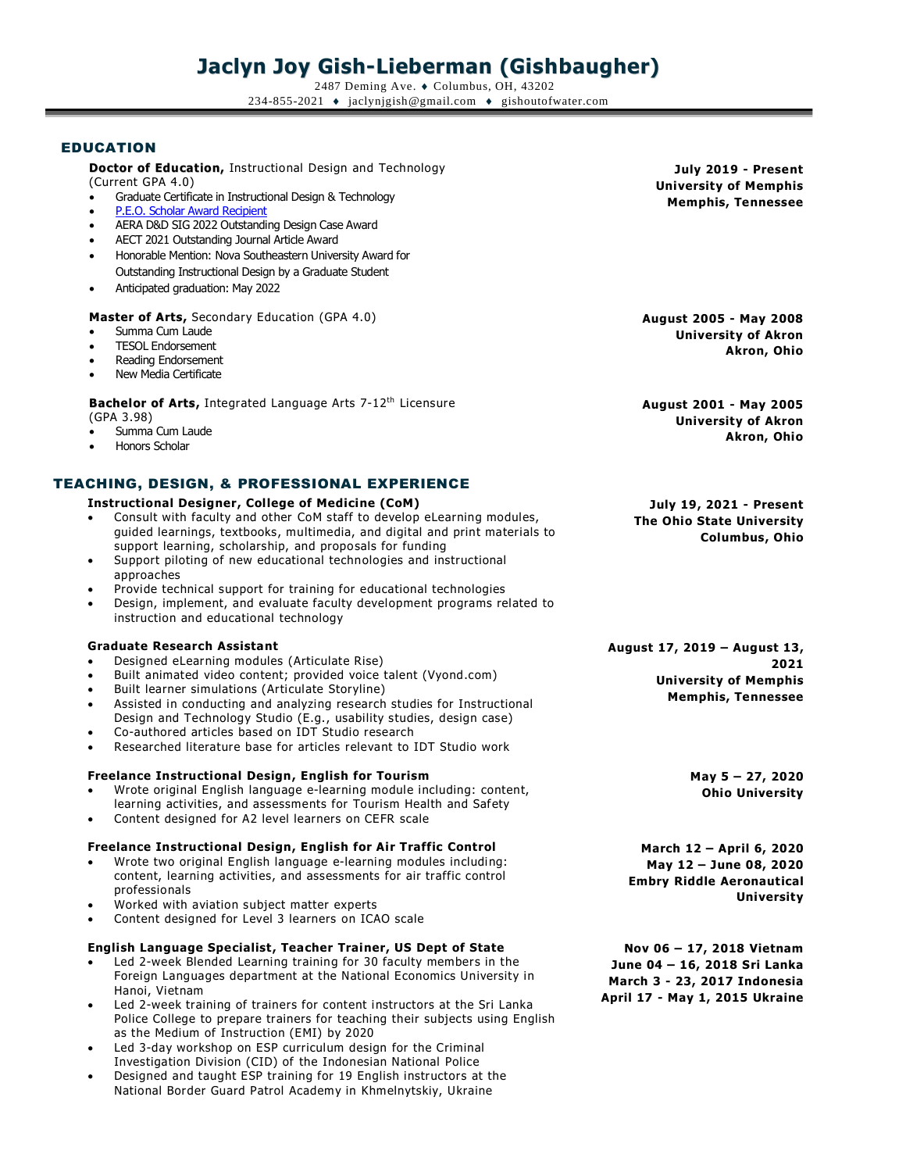# **Jaclyn Joy Gish-Lieberman (Gishbaugher)**

2487 Deming Ave. ♦ Columbus, OH, 43202 234-855-2021  $\bullet$  jaclynjgish@gmail.com  $\bullet$  gishoutofwater.com

# EDUCATION

**Doctor of Education,** Instructional Design and Technology (Current GPA 4.0)

- Graduate Certificate in Instructional Design & Technology
- [P.E.O. Scholar Award Recipient](https://www.peointernational.org/about-peo-scholar-awards)
- AERA D&D SIG 2022 Outstanding Design Case Award
- AECT 2021 Outstanding Journal Article Award
- Honorable Mention: Nova Southeastern University Award for Outstanding Instructional Design by a Graduate Student
- Anticipated graduation: May 2022

**Master of Arts,** Secondary Education (GPA 4.0)

- Summa Cum Laude
- TESOL Endorsement
- Reading Endorsement
- New Media Certificate

**Bachelor of Arts,** Integrated Language Arts 7-12th Licensure (GPA 3.98)

- Summa Cum Laude
- Honors Scholar

# TEACHING, DESIGN, & PROFESSIONAL EXPERIENCE

#### **Instructional Designer, College of Medicine (CoM)**

- Consult with faculty and other CoM staff to develop eLearning modules, guided learnings, textbooks, multimedia, and digital and print materials to support learning, scholarship, and proposals for funding
- Support piloting of new educational technologies and instructional approaches
- Provide technical support for training for educational technologies
- Design, implement, and evaluate faculty development programs related to instruction and educational technology

#### **Graduate Research Assistant**

- Designed eLearning modules (Articulate Rise)
- Built animated video content; provided voice talent (Vyond.com)
- Built learner simulations (Articulate Storyline)
- Assisted in conducting and analyzing research studies for Instructional Design and Technology Studio (E.g., usability studies, design case)
- Co-authored articles based on IDT Studio research
- Researched literature base for articles relevant to IDT Studio work

#### **Freelance Instructional Design, English for Tourism**

- Wrote original English language e-learning module including: content, learning activities, and assessments for Tourism Health and Safety
- Content designed for A2 level learners on CEFR scale

#### **Freelance Instructional Design, English for Air Traffic Control**

- Wrote two original English language e-learning modules including: content, learning activities, and assessments for air traffic control professionals
- Worked with aviation subject matter experts
- Content designed for Level 3 learners on ICAO scale

#### **English Language Specialist , Teacher Trainer, US Dept of State**

- Led 2-week Blended Learning training for 30 faculty members in the Foreign Languages department at the National Economics University in Hanoi, Vietnam
- Led 2-week training of trainers for content instructors at the Sri Lanka Police College to prepare trainers for teaching their subjects using English as the Medium of Instruction (EMI) by 2020
- Led 3-day workshop on ESP curriculum design for the Criminal Investigation Division (CID) of the Indonesian National Police
- Designed and taught ESP training for 19 English instructors at the National Border Guard Patrol Academy in Khmelnytskiy, Ukraine

**July 2019 - Present University of Memphis Memphis, Tennessee**

**August 2005 - May 2008 University of Akron Akron, Ohio**

**August 2001 - May 2005 University of Akron Akron, Ohio**

**July 19, 2021 - Present The Ohio State University Columbus, Ohio**

**August 17, 2019 – August 13, 2021 University of Memphis Memphis, Tennessee**

> **May 5 – 27, 2020 Ohio University**

**March 12 – April 6, 2020 May 12 – June 08, 2020 Embry Riddle Aeronautical University**

**Nov 06 – 17, 2018 Vietnam June 04 – 16, 2018 Sri Lanka March 3 - 23, 2017 Indonesia April 17 - May 1, 2015 Ukraine**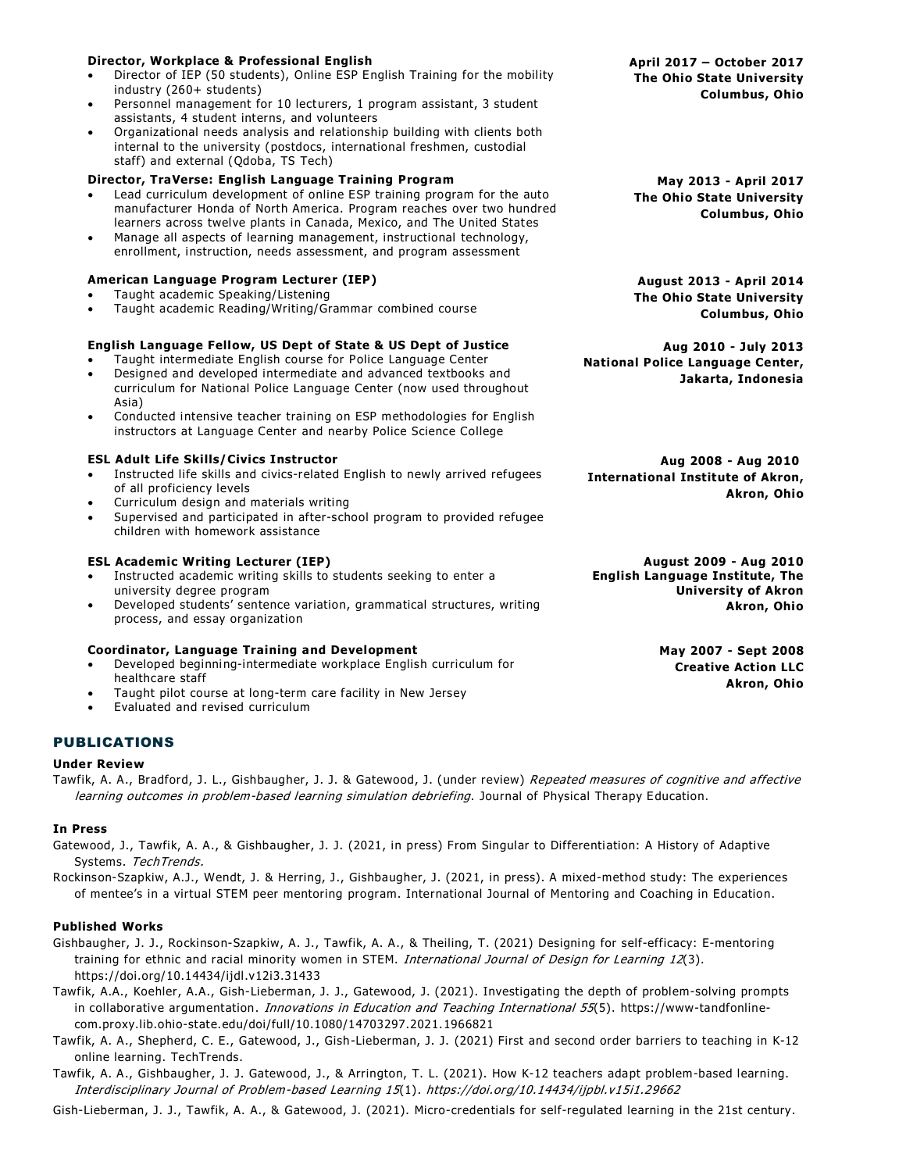#### • Director of IEP (50 students), Online ESP E nglish Training for the mobility industry (260+ students) • Personnel management for 10 lecturers, 1 program assistant, 3 student assistants, 4 student interns, and volunteers • Organizational needs analysis and relationship building with clients both internal to the university (postdocs, international freshmen, custodial staff) and external (Qdoba, TS Tech) **Director, TraVerse: English Language Training Program** • Lead curriculum development of online ESP training program for the auto manufacturer Honda of North America. Program reaches over two hundred learners across twelve plants in Canada, Mexico, and The United States • Manage all aspects of learning management, instructional technology, enrollment, instruction, needs assessment, and program assessment **May 2013 - April 2017 American Language Program Lecturer (IEP)** • Taught academic Speaking/Listening • Taught academic Reading/Writing/Grammar combined course **August 2013 - April 2014 English Language Fellow, US Dept of State & US Dept of Justice** • Taught intermediate English course for Police Language Center • Designed and developed intermediate and advanced textbooks and curriculum for National Police Language Center (now used throughout Asia) • Conducted intensive teacher training on ESP methodologies for English instructors at Language Center and nearby Police Science College **ESL Adult Life Skills/Civics Instructor** • Instructed life skills and civics-related English to newly arrived refugees of all proficiency levels • Curriculum design and materials writing • Supervised and participated in after-school program to provided refugee children with homework assistance **Aug 2008 - Aug 2010**

## **ESL Academic Writing Lecturer (IEP)**

**Director, Workplace & Professional English**

- Instructed academic writing skills to students seeking to enter a university degree program
- Developed students' sentence variation, grammatical structures, writing process, and essay organization

#### **Coordinator, Language Training and Development**

- Developed beginning-intermediate workplace English curriculum for healthcare staff
- Taught pilot course at long-term care facility in New Jersey
- Evaluated and revised curriculum

# PUBLICATIONS

#### **Under Review**

Tawfik, A. A., Bradford, J. L., Gishbaugher, J. J. & Gatewood, J. (under review) Repeated measures of cognitive and affective learning outcomes in problem-based learning simulation debriefing. Journal of Physical Therapy Education.

#### **In Press**

Gatewood, J., Tawfik, A. A., & Gishbaugher, J. J. (2021, in press) From Singular to Differenti ation: A History of Adaptive Systems. TechTrends.

Rockinson-Szapkiw, A.J., Wendt, J. & Herring, J., Gishbaugher, J. (2021, in press). A mixed-method study: The experiences of mentee's in a virtual STEM peer mentoring program. International Journal of Mentoring and Coaching in Education.

#### **Published Works**

- Gishbaugher, J. J., Rockinson-Szapkiw, A. J., Tawfik, A. A., & Theiling, T. (2021) Designing for self-efficacy: E-mentoring training for ethnic and racial minority women in STEM. International Journal of Design for Learning 12(3). https://doi.org/10.14434/ijdl.v12i3.31433
- Tawfik, A.A., Koehler, A.A., Gish-Lieberman, J. J., Gatewood, J. (2021). Investigating the depth of problem-solving prompts in collaborative argumentation. *Innovations in Education and Teaching International 55*(5). https://www-tandfonlinecom.proxy.lib.ohio-state.edu/doi/full/10.1080/14703297.2021.1966821
- Tawfik, A. A., Shepherd, C. E., Gatewood, J., Gish-Lieberman, J. J. (2021) First and second order barriers to teaching in K-12 online learning. TechTrends.
- Tawfik, A. A., Gishbaugher, J. J. Gatewood, J., & Arrington, T. L. (2021). How K-12 teachers adapt problem-based learning. Interdisciplinary Journal of Problem-based Learning 15(1). https://doi.org/10.14434/ijpbl.v15i1.29662

Gish-Lieberman, J. J., Tawfik, A. A., & Gatewood, J. (2021). Micro-credentials for self-regulated learning in the 21st century.

**April 2017 – October 2017 The Ohio State University Columbus, Ohio**

**The Ohio State University Columbus, Ohio**

**The Ohio State University Columbus, Ohio**

**Aug 2010 - July 2013 National Police Language Center, Jakarta, Indonesia**

**International Institute of Akron, Akron, Ohio**

**August 2009 - Aug 2010 English Language Institute, The University of Akron Akron, Ohio**

> **May 2007 - Sept 2008 Creative Action LLC Akron, Ohio**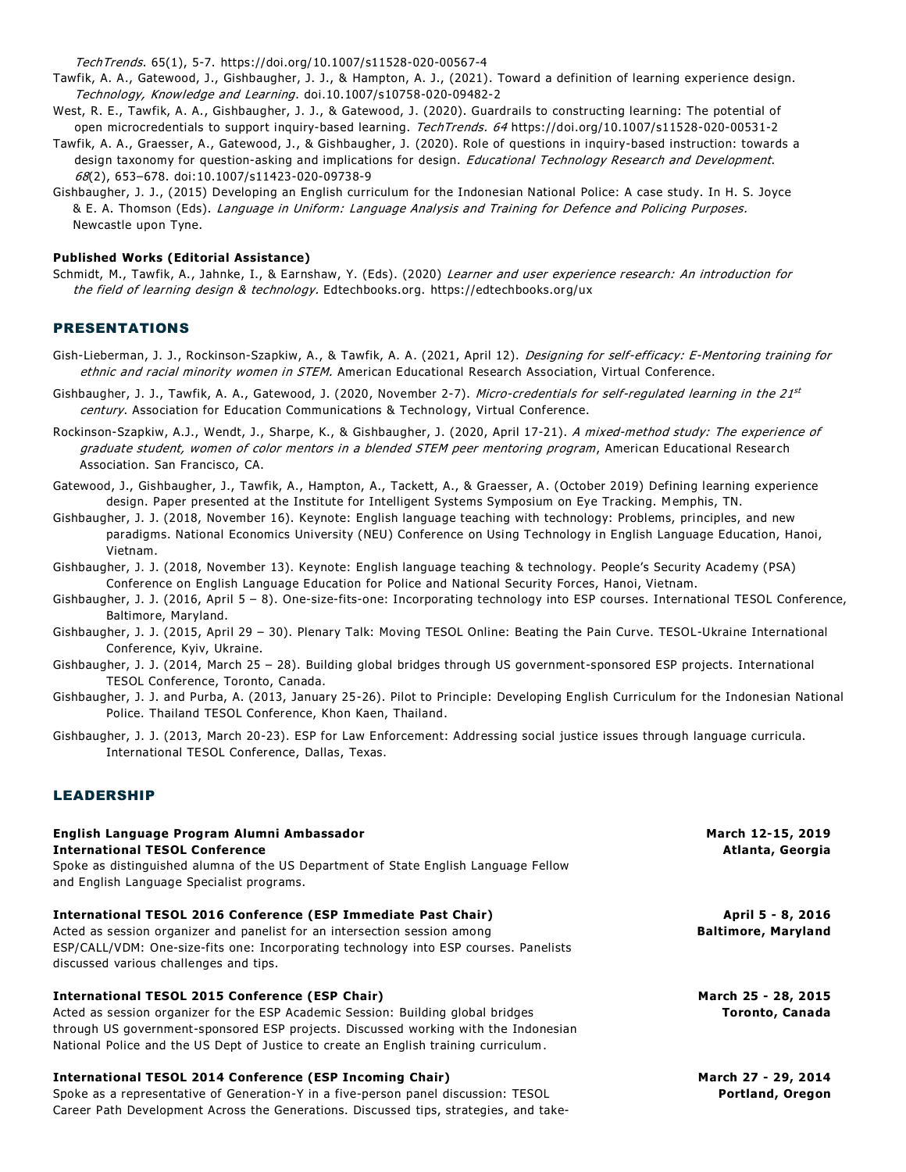TechTrends. 65(1), 5-7. https://doi.org/10.1007/s11528-020-00567-4

- Tawfik, A. A., Gatewood, J., Gishbaugher, J. J., & Hampton, A. J., (2021). Toward a definition of learning experience design. Technology, Knowledge and Learning. doi.10.1007/s10758-020-09482-2
- West, R. E., Tawfik, A. A., Gishbaugher, J. J., & Gatewood, J. (2020). Guardrails to constructing learning: The potential of open microcredentials to support inquiry-based learning. TechTrends. 64 https://doi.org/10.1007/s11528-020-00531-2
- Tawfik, A. A., Graesser, A., Gatewood, J., & Gishbaugher, J. (2020). Role of questions in inquiry-based instruction: towards a design taxonomy for question-asking and implications for design. Educational Technology Research and Development. 68(2), 653–678. doi:10.1007/s11423-020-09738-9
- Gishbaugher, J. J., (2015) Developing an English curriculum for the Indonesian National Police: A case study. In H. S. Joyce & E. A. Thomson (Eds). Language in Uniform: Language Analysis and Training for Defence and Policing Purposes. Newcastle upon Tyne.

#### **Published Works (Editorial Assistance)**

Schmidt, M., Tawfik, A., Jahnke, I., & Earnshaw, Y. (Eds). (2020) Learner and user experience research: An introduction for the field of learning design & technology. Edtechbooks.org. https://edtechbooks.org/ux

# PRESENTATIONS

- Gish-Lieberman, J. J., Rockinson-Szapkiw, A., & Tawfik, A. A. (2021, April 12). Designing for self-efficacy: E-Mentoring training for ethnic and racial minority women in STEM. American Educational Research Association, Virtual Conference.
- Gishbaugher, J. J., Tawfik, A. A., Gatewood, J. (2020, November 2-7). *Micro-credentials for self-regulated learning in the 21<sup>st</sup>* century. Association for Education Communications & Technology, Virtual Conference.
- Rockinson-Szapkiw, A.J., Wendt, J., Sharpe, K., & Gishbaugher, J. (2020, April 17-21). A mixed-method study: The experience of graduate student, women of color mentors in a blended STEM peer mentoring program, American Educational Research Association. San Francisco, CA.
- Gatewood, J., Gishbaugher, J., Tawfik, A., Hampton, A., Tackett, A., & Graesser, A. (October 2019) Defining learning experience design. Paper presented at the Institute for Intelligent Systems Symposium on Eye Tracking. Memphis, TN.
- Gishbaugher, J. J. (2018, November 16). Keynote: English language teaching with technology: Problems, principles, and new paradigms. National Economics University (NEU) Conference on Using Technology in English Language Education, Hanoi, Vietnam.
- Gishbaugher, J. J. (2018, November 13). Keynote: English language teaching & technology. People's Security Academy (PSA) Conference on English Language Education for Police and National Security Forces, Hanoi, Vietnam.
- Gishbaugher, J. J. (2016, April 5 8). One-size-fits-one: Incorporating technology into ESP courses. International TESOL Conference, Baltimore, Maryland.
- Gishbaugher, J. J. (2015, April 29 30). Plenary Talk: Moving TESOL Online: Beating the Pain Curve. TESOL-Ukraine International Conference, Kyiv, Ukraine.
- Gishbaugher, J. J. (2014, March 25 28). Building global bridges through US government-sponsored ESP projects. International TESOL Conference, Toronto, Canada.
- Gishbaugher, J. J. and Purba, A. (2013, January 25-26). Pilot to Principle: Developing English Curriculum for the Indonesian National Police. Thailand TESOL Conference, Khon Kaen, Thailand.
- Gishbaugher, J. J. (2013, March 20-23). ESP for Law Enforcement: Addressing social justice issues through language curricula. International TESOL Conference, Dallas, Texas.

#### LEADERSHIP

| English Language Program Alumni Ambassador<br><b>International TESOL Conference</b><br>Spoke as distinguished alumna of the US Department of State English Language Fellow<br>and English Language Specialist programs.                                                                                                   | March 12-15, 2019<br>Atlanta, Georgia           |
|---------------------------------------------------------------------------------------------------------------------------------------------------------------------------------------------------------------------------------------------------------------------------------------------------------------------------|-------------------------------------------------|
| International TESOL 2016 Conference (ESP Immediate Past Chair)<br>Acted as session organizer and panelist for an intersection session among<br>ESP/CALL/VDM: One-size-fits one: Incorporating technology into ESP courses. Panelists<br>discussed various challenges and tips.                                            | April 5 - 8, 2016<br><b>Baltimore, Maryland</b> |
| <b>International TESOL 2015 Conference (ESP Chair)</b><br>Acted as session organizer for the ESP Academic Session: Building global bridges<br>through US government-sponsored ESP projects. Discussed working with the Indonesian<br>National Police and the US Dept of Justice to create an English training curriculum. | March 25 - 28, 2015<br>Toronto, Canada          |
| International TESOL 2014 Conference (ESP Incoming Chair)<br>Spoke as a representative of Generation-Y in a five-person panel discussion: TESOL<br>Career Path Development Across the Generations. Discussed tips, strategies, and take-                                                                                   | March 27 - 29, 2014<br>Portland, Oregon         |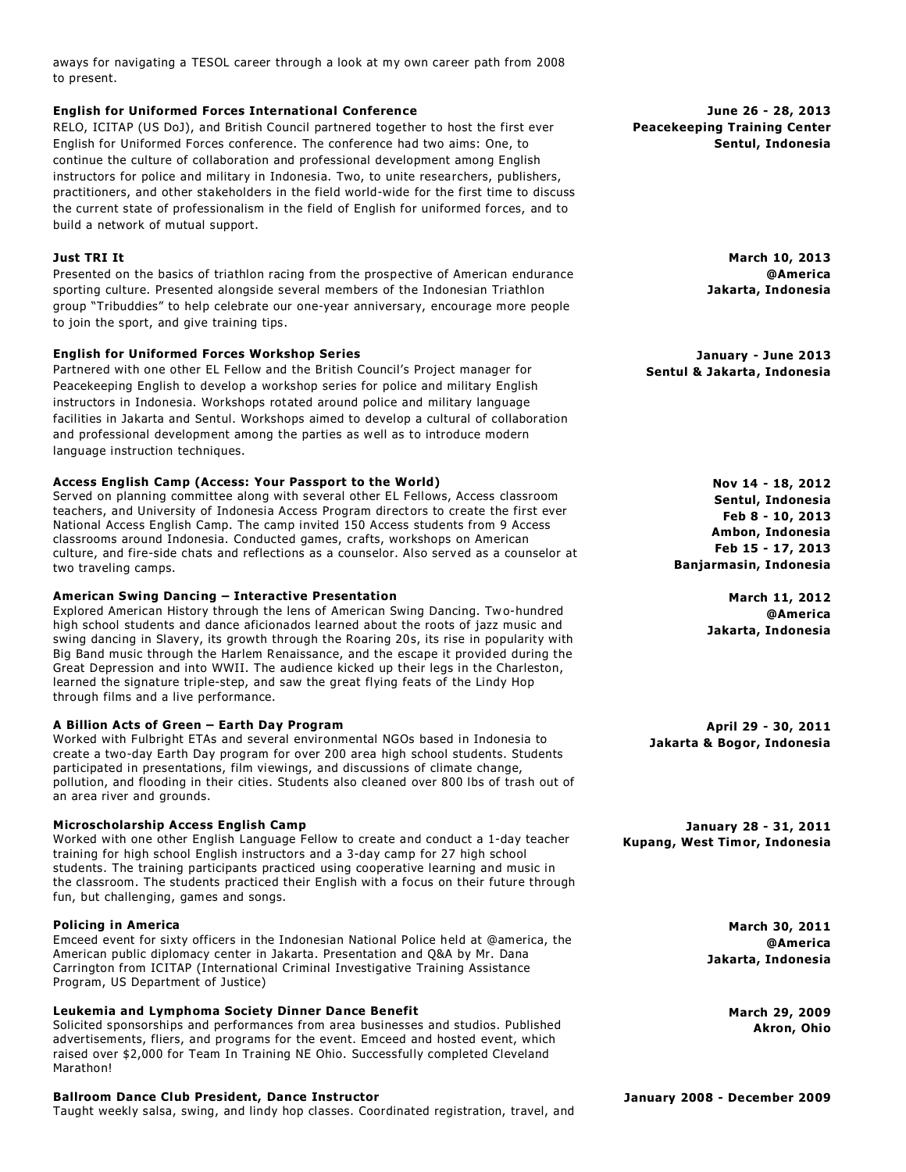aways for navigating a TESOL career through a look at my own career path from 2008 to present.

## **English for Uniformed Forces International Conference**

RELO, ICITAP (US DoJ), and British Council partnered together to host the first ever English for Uniformed Forces conference. The conference had two aims: One, to continue the culture of collaboration and professional development among English instructors for police and military in Indonesia. Two, to unite researchers, publishers, practitioners, and other stakeholders in the field world-wide for the first time to discuss the current state of professionalism in the field of English for uniformed forces, and to build a network of mutual support.

## **Just TRI It**

Presented on the basics of triathlon racing from the prospective of American endurance sporting culture. Presented alongside several members of the Indonesian Triathlon group "Tribuddies" to help celebrate our one-year anniversary, encourage more people to join the sport, and give training tips.

## **English for Uniformed Forces Workshop Series**

Partnered with one other EL Fellow and the British Council's Project manager for Peacekeeping English to develop a workshop series for police and military English instructors in Indonesia. Workshops rotated around police and military language facilities in Jakarta and Sentul. Workshops aimed to develop a cultural of collaboration and professional development among the parties as well as to introduce modern language instruction techniques.

## **Access English Camp (Access: Your Passport to the World)**

Served on planning committee along with several other EL Fellows, Access classroom teachers, and University of Indonesia Access Program direct ors to create the first ever National Access English Camp. The camp invited 150 Access students from 9 Access classrooms around Indonesia. Conducted games, crafts, workshops on American culture, and fire-side chats and reflections as a counselor. Also served as a counselor at two traveling camps.

# **American Swing Dancing – Interactive Presentation**

Explored American History through the lens of American Swing Dancing. Tw o-hundred high school students and dance aficionados learned about the roots of jazz music and swing dancing in Slavery, its growth through the Roaring 20s, its rise in popularity with Big Band music through the Harlem Renaissance, and the escape it provided during the Great Depression and into WWII. The audience kicked up their legs in the Charleston, learned the signature triple-step, and saw the great flying feats of the Lindy Hop through films and a live performance.

# **A Billion Acts of Green – Earth Day Program**

Worked with Fulbright ETAs and several environmental NGOs based in Indonesia to create a two-day Earth Day program for over 200 area high school students. Students participated in presentations, film viewings, and discussions of climate change, pollution, and flooding in their cities. Students also cleaned over 800 lbs of trash out of an area river and grounds.

#### **Microscholarship Access English Camp**

Worked with one other English Language Fellow to create and conduct a 1-day teacher training for high school English instructors and a 3-day camp for 27 high school students. The training participants practiced using cooperative learning and music in the classroom. The students practiced their English with a focus on their future through fun, but challenging, games and songs.

#### **Policing in America**

Emceed event for sixty officers in the Indonesian National Police held at @america, the American public diplomacy center in Jakarta. Presentation and Q&A by Mr. Dana Carrington from ICITAP (International Criminal Investigative Training Assistance Program, US Department of Justice)

#### **Leukemia and Lymphoma Society Dinner Dance Benefit**

Solicited sponsorships and performances from area businesses and studios. Published advertisements, fliers, and programs for the event. Emceed and hosted event, which raised over \$2,000 for Team In Training NE Ohio. Successfully completed Cleveland Marathon!

#### **Ballroom Dance Club President, Dance Instructor**

Taught weekly salsa, swing, and lindy hop classes. Coordinated registration, travel, and

**June 26 - 28, 2013 Peacekeeping Training Center Sentul, Indonesia**

> **March 10, 2013 @America Jakarta, Indonesia**

**January - June 2013 Sentul & Jakarta, Indonesia**

> **Nov 14 - 18, 2012 Sentul, Indonesia Feb 8 - 10, 2013 Ambon, Indonesia Feb 15 - 17, 2013 Banjarmasin, Indonesia**

> > **March 11, 2012 @America Jakarta, Indonesia**

**April 29 - 30, 2011 Jakarta & Bogor, Indonesia**

**January 28 - 31, 2011 Kupang, West Timor, Indonesia**

> **March 30, 2011 @America Jakarta, Indonesia**

> > **March 29, 2009 Akron, Ohio**